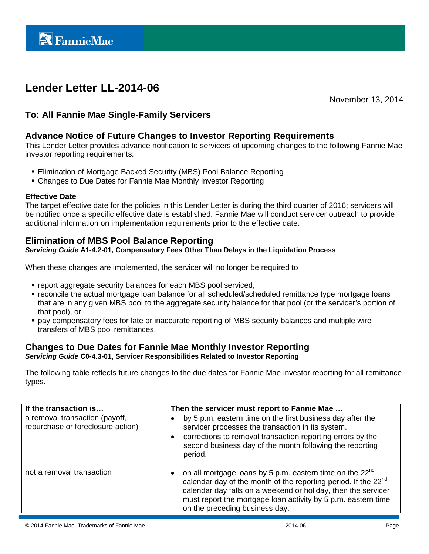# **Lender Letter LL-2014-06**

November 13, 2014

# **To: All Fannie Mae Single-Family Servicers**

# **Advance Notice of Future Changes to Investor Reporting Requirements**

This Lender Letter provides advance notification to servicers of upcoming changes to the following Fannie Mae investor reporting requirements:

- **Elimination of Mortgage Backed Security (MBS) Pool Balance Reporting**
- Changes to Due Dates for Fannie Mae Monthly Investor Reporting

#### **Effective Date**

The target effective date for the policies in this Lender Letter is during the third quarter of 2016; servicers will be notified once a specific effective date is established. Fannie Mae will conduct servicer outreach to provide additional information on implementation requirements prior to the effective date.

# **Elimination of MBS Pool Balance Reporting**

#### *Servicing Guide* **A1-4.2-01, Compensatory Fees Other Than Delays in the Liquidation Process**

When these changes are implemented, the servicer will no longer be required to

- report aggregate security balances for each MBS pool serviced,
- **reconcile the actual mortgage loan balance for all scheduled/scheduled remittance type mortgage loans** that are in any given MBS pool to the aggregate security balance for that pool (or the servicer's portion of that pool), or
- pay compensatory fees for late or inaccurate reporting of MBS security balances and multiple wire transfers of MBS pool remittances.

### **Changes to Due Dates for Fannie Mae Monthly Investor Reporting**

*Servicing Guide* **C0-4.3-01, Servicer Responsibilities Related to Investor Reporting** 

The following table reflects future changes to the due dates for Fannie Mae investor reporting for all remittance types.

| If the transaction is                                               | Then the servicer must report to Fannie Mae                                                                                                                                                                                                                                                                                         |
|---------------------------------------------------------------------|-------------------------------------------------------------------------------------------------------------------------------------------------------------------------------------------------------------------------------------------------------------------------------------------------------------------------------------|
| a removal transaction (payoff,<br>repurchase or foreclosure action) | by 5 p.m. eastern time on the first business day after the<br>servicer processes the transaction in its system.<br>corrections to removal transaction reporting errors by the<br>$\bullet$<br>second business day of the month following the reporting<br>period.                                                                   |
| not a removal transaction                                           | on all mortgage loans by 5 p.m. eastern time on the 22 <sup>nd</sup><br>$\bullet$<br>calendar day of the month of the reporting period. If the 22 <sup>nd</sup><br>calendar day falls on a weekend or holiday, then the servicer<br>must report the mortgage loan activity by 5 p.m. eastern time<br>on the preceding business day. |